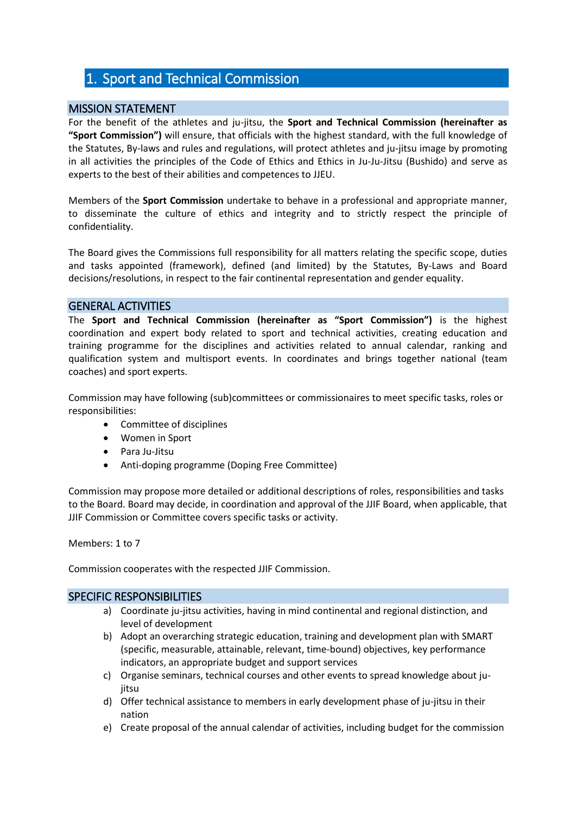# 1. Sport and Technical Commission

## MISSION STATEMENT

For the benefit of the athletes and ju-jitsu, the **Sport and Technical Commission (hereinafter as "Sport Commission")** will ensure, that officials with the highest standard, with the full knowledge of the Statutes, By-laws and rules and regulations, will protect athletes and ju-jitsu image by promoting in all activities the principles of the Code of Ethics and Ethics in Ju-Ju-Jitsu (Bushido) and serve as experts to the best of their abilities and competences to JJEU.

Members of the **Sport Commission** undertake to behave in a professional and appropriate manner, to disseminate the culture of ethics and integrity and to strictly respect the principle of confidentiality.

The Board gives the Commissions full responsibility for all matters relating the specific scope, duties and tasks appointed (framework), defined (and limited) by the Statutes, By-Laws and Board decisions/resolutions, in respect to the fair continental representation and gender equality.

### GENERAL ACTIVITIES

The **Sport and Technical Commission (hereinafter as "Sport Commission")** is the highest coordination and expert body related to sport and technical activities, creating education and training programme for the disciplines and activities related to annual calendar, ranking and qualification system and multisport events. In coordinates and brings together national (team coaches) and sport experts.

Commission may have following (sub)committees or commissionaires to meet specific tasks, roles or responsibilities:

- Committee of disciplines
- Women in Sport
- Para Ju-Jitsu
- Anti-doping programme (Doping Free Committee)

Commission may propose more detailed or additional descriptions of roles, responsibilities and tasks to the Board. Board may decide, in coordination and approval of the JJIF Board, when applicable, that JJIF Commission or Committee covers specific tasks or activity.

Members: 1 to 7

Commission cooperates with the respected JJIF Commission.

#### SPECIFIC RESPONSIBILITIES

- a) Coordinate ju-jitsu activities, having in mind continental and regional distinction, and level of development
- b) Adopt an overarching strategic education, training and development plan with SMART (specific, measurable, attainable, relevant, time-bound) objectives, key performance indicators, an appropriate budget and support services
- c) Organise seminars, technical courses and other events to spread knowledge about juiitsu
- d) Offer technical assistance to members in early development phase of ju-jitsu in their nation
- e) Create proposal of the annual calendar of activities, including budget for the commission